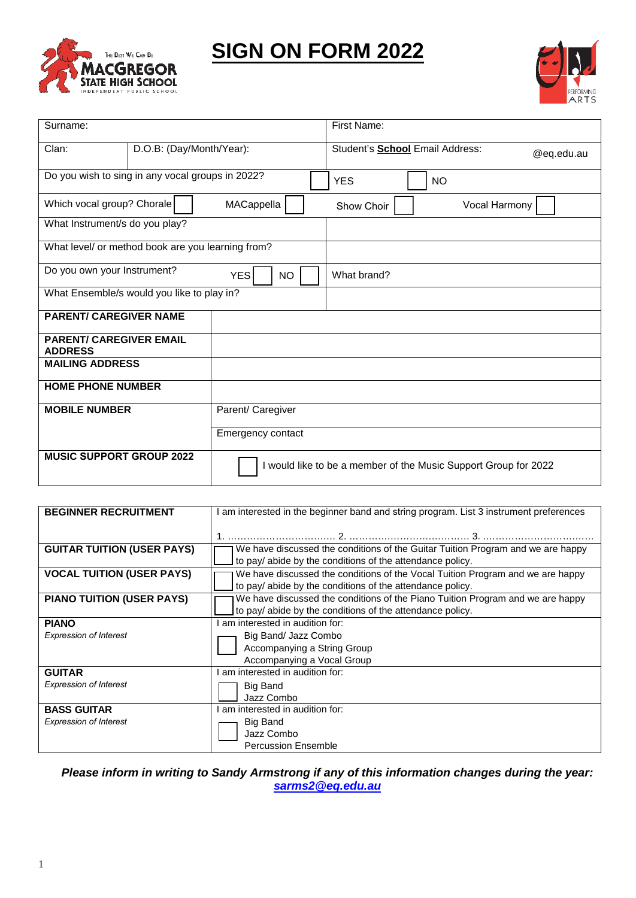

# **SIGN ON FORM 2022**



| Surname:                                                                                           |                          |                   | First Name:                            |               |            |
|----------------------------------------------------------------------------------------------------|--------------------------|-------------------|----------------------------------------|---------------|------------|
| Clan:                                                                                              | D.O.B: (Day/Month/Year): |                   | Student's <b>School</b> Email Address: |               | @eq.edu.au |
| Do you wish to sing in any vocal groups in 2022?                                                   |                          |                   | <b>YES</b>                             | <b>NO</b>     |            |
| Which vocal group? Chorale                                                                         |                          | MACappella        | Show Choir                             | Vocal Harmony |            |
| What Instrument/s do you play?                                                                     |                          |                   |                                        |               |            |
| What level/ or method book are you learning from?                                                  |                          |                   |                                        |               |            |
| Do you own your Instrument?<br><b>NO</b><br>YES <sup>I</sup>                                       |                          |                   | What brand?                            |               |            |
| What Ensemble/s would you like to play in?                                                         |                          |                   |                                        |               |            |
| <b>PARENT/ CAREGIVER NAME</b>                                                                      |                          |                   |                                        |               |            |
| <b>PARENT/ CAREGIVER EMAIL</b><br><b>ADDRESS</b>                                                   |                          |                   |                                        |               |            |
| <b>MAILING ADDRESS</b>                                                                             |                          |                   |                                        |               |            |
| <b>HOME PHONE NUMBER</b>                                                                           |                          |                   |                                        |               |            |
| <b>MOBILE NUMBER</b>                                                                               |                          | Parent/ Caregiver |                                        |               |            |
|                                                                                                    |                          | Emergency contact |                                        |               |            |
| <b>MUSIC SUPPORT GROUP 2022</b><br>I would like to be a member of the Music Support Group for 2022 |                          |                   |                                        |               |            |

| <b>BEGINNER RECRUITMENT</b>       | I am interested in the beginner band and string program. List 3 instrument preferences                                                       |  |  |  |
|-----------------------------------|----------------------------------------------------------------------------------------------------------------------------------------------|--|--|--|
|                                   | з.                                                                                                                                           |  |  |  |
| <b>GUITAR TUITION (USER PAYS)</b> | We have discussed the conditions of the Guitar Tuition Program and we are happy<br>to pay/ abide by the conditions of the attendance policy. |  |  |  |
| <b>VOCAL TUITION (USER PAYS)</b>  | We have discussed the conditions of the Vocal Tuition Program and we are happy<br>to pay/ abide by the conditions of the attendance policy.  |  |  |  |
| <b>PIANO TUITION (USER PAYS)</b>  | We have discussed the conditions of the Piano Tuition Program and we are happy<br>to pay/ abide by the conditions of the attendance policy.  |  |  |  |
| <b>PIANO</b>                      | am interested in audition for:                                                                                                               |  |  |  |
| <b>Expression of Interest</b>     | Big Band/ Jazz Combo                                                                                                                         |  |  |  |
|                                   | Accompanying a String Group                                                                                                                  |  |  |  |
|                                   | Accompanying a Vocal Group                                                                                                                   |  |  |  |
| <b>GUITAR</b>                     | am interested in audition for:                                                                                                               |  |  |  |
| <b>Expression of Interest</b>     | Big Band                                                                                                                                     |  |  |  |
|                                   | Jazz Combo                                                                                                                                   |  |  |  |
| <b>BASS GUITAR</b>                | I am interested in audition for:                                                                                                             |  |  |  |
| <b>Expression of Interest</b>     | Big Band                                                                                                                                     |  |  |  |
|                                   | Jazz Combo                                                                                                                                   |  |  |  |
|                                   | <b>Percussion Ensemble</b>                                                                                                                   |  |  |  |

*Please inform in writing to Sandy Armstrong if any of this information changes during the year: [sarms2@eq.edu.au](mailto:sarms2@eq.edu.au)*